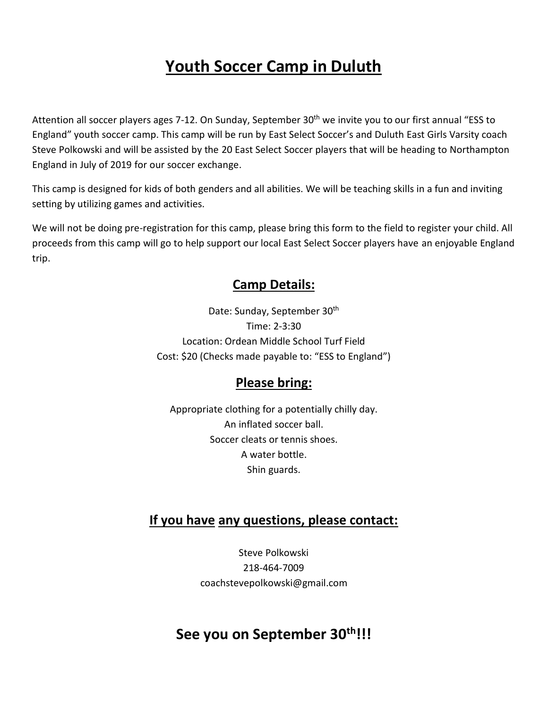# **Youth Soccer Camp in Duluth**

Attention all soccer players ages 7-12. On Sunday, September 30<sup>th</sup> we invite you to our first annual "ESS to England" youth soccer camp. This camp will be run by East Select Soccer's and Duluth East Girls Varsity coach Steve Polkowski and will be assisted by the 20 East Select Soccer players that will be heading to Northampton England in July of 2019 for our soccer exchange.

This camp is designed for kids of both genders and all abilities. We will be teaching skills in a fun and inviting setting by utilizing games and activities.

We will not be doing pre-registration for this camp, please bring this form to the field to register your child. All proceeds from this camp will go to help support our local East Select Soccer players have an enjoyable England trip.

#### **Camp Details:**

Date: Sunday, September 30<sup>th</sup> Time: 2-3:30 Location: Ordean Middle School Turf Field Cost: \$20 (Checks made payable to: "ESS to England")

#### **Please bring:**

Appropriate clothing for a potentially chilly day. An inflated soccer ball. Soccer cleats or tennis shoes. A water bottle. Shin guards.

#### **If you have any questions, please contact:**

Steve Polkowski 218-464-7009 coachstevepolkowski@gmail.com

### **See you on September 30th!!!**